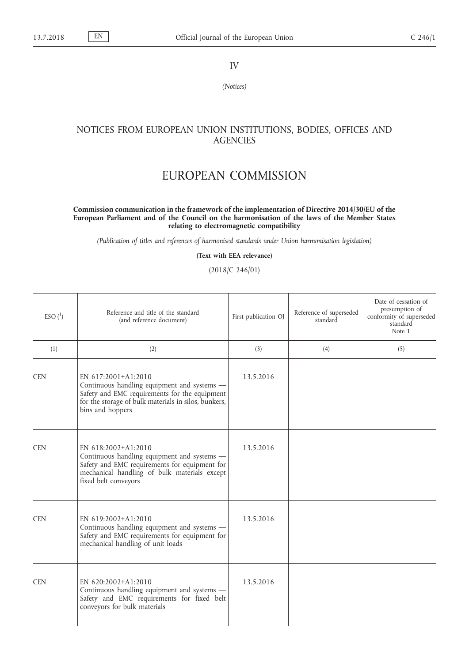IV

*(Notices)*

## NOTICES FROM EUROPEAN UNION INSTITUTIONS, BODIES, OFFICES AND **AGENCIES**

## EUROPEAN COMMISSION

## **Commission communication in the framework of the implementation of Directive 2014/30/EU of the European Parliament and of the Council on the harmonisation of the laws of the Member States relating to electromagnetic compatibility**

*(Publication of titles and references of harmonised standards under Union harmonisation legislation)*

**(Text with EEA relevance)**

(2018/C 246/01)

| $ESO(^{1})$ | Reference and title of the standard<br>(and reference document)                                                                                                                                 | First publication OJ | Reference of superseded<br>standard | Date of cessation of<br>presumption of<br>conformity of superseded<br>standard<br>Note 1 |
|-------------|-------------------------------------------------------------------------------------------------------------------------------------------------------------------------------------------------|----------------------|-------------------------------------|------------------------------------------------------------------------------------------|
| (1)         | (2)                                                                                                                                                                                             | (3)                  | (4)                                 | (5)                                                                                      |
| <b>CEN</b>  | EN 617:2001+A1:2010<br>Continuous handling equipment and systems -<br>Safety and EMC requirements for the equipment<br>for the storage of bulk materials in silos, bunkers,<br>bins and hoppers | 13.5.2016            |                                     |                                                                                          |
| <b>CEN</b>  | EN 618:2002+A1:2010<br>Continuous handling equipment and systems -<br>Safety and EMC requirements for equipment for<br>mechanical handling of bulk materials except<br>fixed belt conveyors     | 13.5.2016            |                                     |                                                                                          |
| <b>CEN</b>  | EN 619:2002+A1:2010<br>Continuous handling equipment and systems -<br>Safety and EMC requirements for equipment for<br>mechanical handling of unit loads                                        | 13.5.2016            |                                     |                                                                                          |
| <b>CEN</b>  | EN 620:2002+A1:2010<br>Continuous handling equipment and systems -<br>Safety and EMC requirements for fixed belt<br>conveyors for bulk materials                                                | 13.5.2016            |                                     |                                                                                          |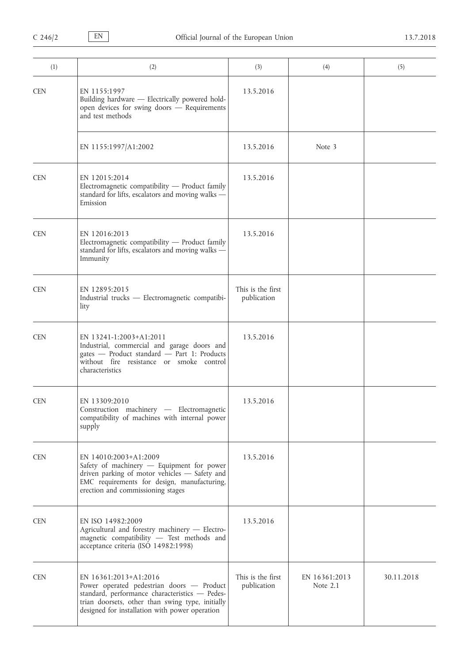| (1)        | (2)                                                                                                                                                                                                                        | (3)                              | (4)                         | (5)        |
|------------|----------------------------------------------------------------------------------------------------------------------------------------------------------------------------------------------------------------------------|----------------------------------|-----------------------------|------------|
| <b>CEN</b> | EN 1155:1997<br>Building hardware - Electrically powered hold-<br>open devices for swing doors - Requirements<br>and test methods                                                                                          | 13.5.2016                        |                             |            |
|            | EN 1155:1997/A1:2002                                                                                                                                                                                                       | 13.5.2016                        | Note 3                      |            |
| <b>CEN</b> | EN 12015:2014<br>Electromagnetic compatibility - Product family<br>standard for lifts, escalators and moving walks -<br>Emission                                                                                           | 13.5.2016                        |                             |            |
| <b>CEN</b> | EN 12016:2013<br>Electromagnetic compatibility - Product family<br>standard for lifts, escalators and moving walks -<br>Immunity                                                                                           | 13.5.2016                        |                             |            |
| <b>CEN</b> | EN 12895:2015<br>Industrial trucks - Electromagnetic compatibi-<br>lity                                                                                                                                                    | This is the first<br>publication |                             |            |
| <b>CEN</b> | EN 13241-1:2003+A1:2011<br>Industrial, commercial and garage doors and<br>gates - Product standard - Part 1: Products<br>without fire resistance or smoke control<br>characteristics                                       | 13.5.2016                        |                             |            |
| <b>CEN</b> | EN 13309:2010<br>Construction machinery - Electromagnetic<br>compatibility of machines with internal power<br>supply                                                                                                       | 13.5.2016                        |                             |            |
| <b>CEN</b> | EN 14010:2003+A1:2009<br>Safety of machinery - Equipment for power<br>driven parking of motor vehicles - Safety and<br>EMC requirements for design, manufacturing,<br>erection and commissioning stages                    | 13.5.2016                        |                             |            |
| <b>CEN</b> | EN ISO 14982:2009<br>Agricultural and forestry machinery - Electro-<br>magnetic compatibility - Test methods and<br>acceptance criteria (ISO 14982:1998)                                                                   | 13.5.2016                        |                             |            |
| <b>CEN</b> | EN 16361:2013+A1:2016<br>Power operated pedestrian doors - Product<br>standard, performance characteristics - Pedes-<br>trian doorsets, other than swing type, initially<br>designed for installation with power operation | This is the first<br>publication | EN 16361:2013<br>Note $2.1$ | 30.11.2018 |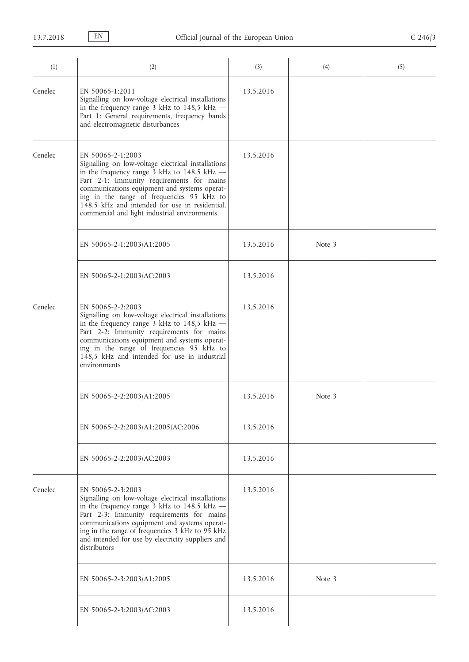| (1)     | (2)                                                                                                                                                                                                                                                                                                                                                                | (3)       | (4)    | (5) |
|---------|--------------------------------------------------------------------------------------------------------------------------------------------------------------------------------------------------------------------------------------------------------------------------------------------------------------------------------------------------------------------|-----------|--------|-----|
| Cenelec | EN 50065-1:2011<br>Signalling on low-voltage electrical installations<br>in the frequency range 3 kHz to 148,5 kHz -<br>Part 1: General requirements, frequency bands<br>and electromagnetic disturbances                                                                                                                                                          | 13.5.2016 |        |     |
| Cenelec | EN 50065-2-1:2003<br>Signalling on low-voltage electrical installations<br>in the frequency range 3 kHz to 148,5 kHz -<br>Part 2-1: Immunity requirements for mains<br>communications equipment and systems operat-<br>ing in the range of frequencies 95 kHz to<br>148,5 kHz and intended for use in residential,<br>commercial and light industrial environments | 13.5.2016 |        |     |
|         | EN 50065-2-1:2003/A1:2005                                                                                                                                                                                                                                                                                                                                          | 13.5.2016 | Note 3 |     |
|         | EN 50065-2-1:2003/AC:2003                                                                                                                                                                                                                                                                                                                                          | 13.5.2016 |        |     |
| Cenelec | EN 50065-2-2:2003<br>Signalling on low-voltage electrical installations<br>in the frequency range 3 kHz to 148,5 kHz -<br>Part 2-2: Immunity requirements for mains<br>communications equipment and systems operat-<br>ing in the range of frequencies 95 kHz to<br>148,5 kHz and intended for use in industrial<br>environments                                   | 13.5.2016 |        |     |
|         | EN 50065-2-2:2003/A1:2005                                                                                                                                                                                                                                                                                                                                          | 13.5.2016 | Note 3 |     |
|         | EN 50065-2-2:2003/A1:2005/AC:2006                                                                                                                                                                                                                                                                                                                                  | 13.5.2016 |        |     |
|         | EN 50065-2-2:2003/AC:2003                                                                                                                                                                                                                                                                                                                                          | 13.5.2016 |        |     |
| Cenelec | EN 50065-2-3:2003<br>Signalling on low-voltage electrical installations<br>in the frequency range 3 kHz to 148,5 kHz -<br>Part 2-3: Immunity requirements for mains<br>communications equipment and systems operat-<br>ing in the range of frequencies 3 kHz to 95 kHz<br>and intended for use by electricity suppliers and<br>distributors                        | 13.5.2016 |        |     |
|         | EN 50065-2-3:2003/A1:2005                                                                                                                                                                                                                                                                                                                                          | 13.5.2016 | Note 3 |     |
|         | EN 50065-2-3:2003/AC:2003                                                                                                                                                                                                                                                                                                                                          | 13.5.2016 |        |     |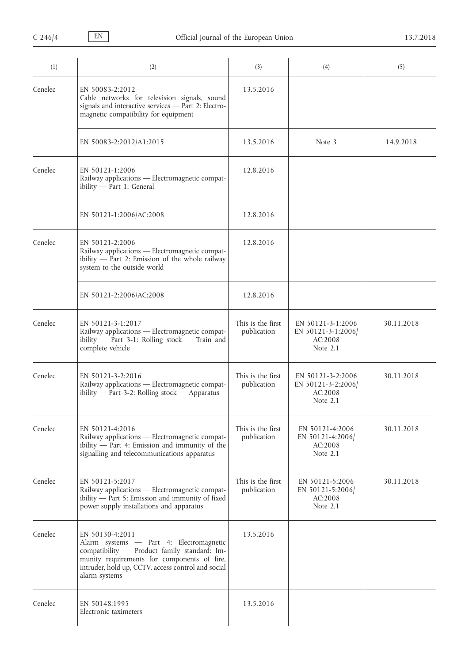| (1)     | (2)                                                                                                                                                                                                                              | (3)                              | (4)                                                            | (5)        |
|---------|----------------------------------------------------------------------------------------------------------------------------------------------------------------------------------------------------------------------------------|----------------------------------|----------------------------------------------------------------|------------|
| Cenelec | EN 50083-2:2012<br>Cable networks for television signals, sound<br>signals and interactive services - Part 2: Electro-<br>magnetic compatibility for equipment                                                                   | 13.5.2016                        |                                                                |            |
|         | EN 50083-2:2012/A1:2015                                                                                                                                                                                                          | 13.5.2016                        | Note 3                                                         | 14.9.2018  |
| Cenelec | EN 50121-1:2006<br>Railway applications - Electromagnetic compat-<br>ibility - Part 1: General                                                                                                                                   | 12.8.2016                        |                                                                |            |
|         | EN 50121-1:2006/AC:2008                                                                                                                                                                                                          | 12.8.2016                        |                                                                |            |
| Cenelec | EN $50121 - 2:2006$<br>Railway applications - Electromagnetic compat-<br>ibility $-$ Part 2: Emission of the whole railway<br>system to the outside world                                                                        | 12.8.2016                        |                                                                |            |
|         | EN 50121-2:2006/AC:2008                                                                                                                                                                                                          | 12.8.2016                        |                                                                |            |
| Cenelec | EN 50121-3-1:2017<br>Railway applications - Electromagnetic compat-<br>ibility - Part 3-1: Rolling stock - Train and<br>complete vehicle                                                                                         | This is the first<br>publication | EN 50121-3-1:2006<br>EN 50121-3-1:2006/<br>AC:2008<br>Note 2.1 | 30.11.2018 |
| Cenelec | EN 50121-3-2:2016<br>Railway applications - Electromagnetic compat-<br>ibility $-$ Part 3-2: Rolling stock $-$ Apparatus                                                                                                         | This is the first<br>publication | EN 50121-3-2:2006<br>EN 50121-3-2:2006<br>AC:2008<br>Note 2.1  | 30.11.2018 |
| Cenelec | EN 50121-4:2016<br>Railway applications - Electromagnetic compat-<br>ibility - Part 4: Emission and immunity of the<br>signalling and telecommunications apparatus                                                               | This is the first<br>publication | EN 50121-4:2006<br>EN 50121-4:2006<br>AC:2008<br>Note 2.1      | 30.11.2018 |
| Cenelec | EN 50121-5:2017<br>Railway applications - Electromagnetic compat-<br>ibility $-$ Part 5: Emission and immunity of fixed<br>power supply installations and apparatus                                                              | This is the first<br>publication | EN 50121-5:2006<br>EN 50121-5:2006<br>AC:2008<br>Note 2.1      | 30.11.2018 |
| Cenelec | EN 50130-4:2011<br>Alarm systems - Part 4: Electromagnetic<br>compatibility - Product family standard: Im-<br>munity requirements for components of fire,<br>intruder, hold up, CCTV, access control and social<br>alarm systems | 13.5.2016                        |                                                                |            |
| Cenelec | EN 50148:1995<br>Electronic taximeters                                                                                                                                                                                           | 13.5.2016                        |                                                                |            |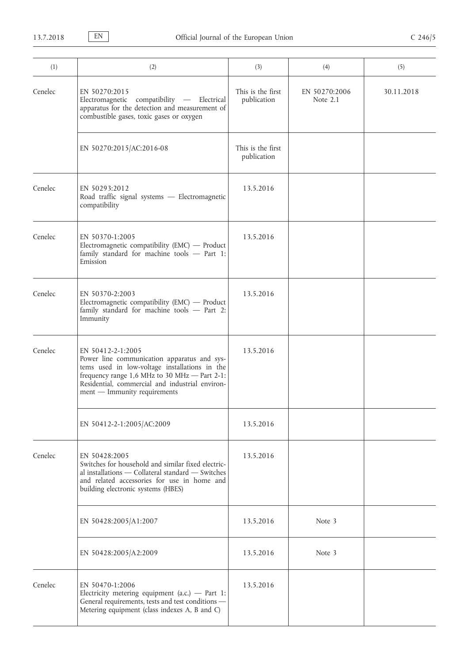| (1)     | (2)                                                                                                                                                                                                                                                   | (3)                              | (4)                       | (5)        |
|---------|-------------------------------------------------------------------------------------------------------------------------------------------------------------------------------------------------------------------------------------------------------|----------------------------------|---------------------------|------------|
| Cenelec | EN 50270:2015<br>compatibility - Electrical<br>Electromagnetic<br>apparatus for the detection and measurement of<br>combustible gases, toxic gases or oxygen                                                                                          | This is the first<br>publication | EN 50270:2006<br>Note 2.1 | 30.11.2018 |
|         | EN 50270:2015/AC:2016-08                                                                                                                                                                                                                              | This is the first<br>publication |                           |            |
| Cenelec | EN 50293:2012<br>Road traffic signal systems - Electromagnetic<br>compatibility                                                                                                                                                                       | 13.5.2016                        |                           |            |
| Cenelec | EN 50370-1:2005<br>Electromagnetic compatibility (EMC) - Product<br>family standard for machine tools - Part 1:<br>Emission                                                                                                                           | 13.5.2016                        |                           |            |
| Cenelec | EN 50370-2:2003<br>Electromagnetic compatibility (EMC) - Product<br>family standard for machine tools - Part 2:<br>Immunity                                                                                                                           | 13.5.2016                        |                           |            |
| Cenelec | EN 50412-2-1:2005<br>Power line communication apparatus and sys-<br>tems used in low-voltage installations in the<br>frequency range 1,6 MHz to 30 MHz - Part 2-1:<br>Residential, commercial and industrial environ-<br>ment - Immunity requirements | 13.5.2016                        |                           |            |
|         | EN 50412-2-1:2005/AC:2009                                                                                                                                                                                                                             | 13.5.2016                        |                           |            |
| Cenelec | EN 50428:2005<br>Switches for household and similar fixed electric-<br>al installations - Collateral standard - Switches<br>and related accessories for use in home and<br>building electronic systems (HBES)                                         | 13.5.2016                        |                           |            |
|         | EN 50428:2005/A1:2007                                                                                                                                                                                                                                 | 13.5.2016                        | Note 3                    |            |
|         | EN 50428:2005/A2:2009                                                                                                                                                                                                                                 | 13.5.2016                        | Note 3                    |            |
| Cenelec | EN 50470-1:2006<br>Electricity metering equipment $(a.c.)$ - Part 1:<br>General requirements, tests and test conditions -<br>Metering equipment (class indexes A, B and C)                                                                            | 13.5.2016                        |                           |            |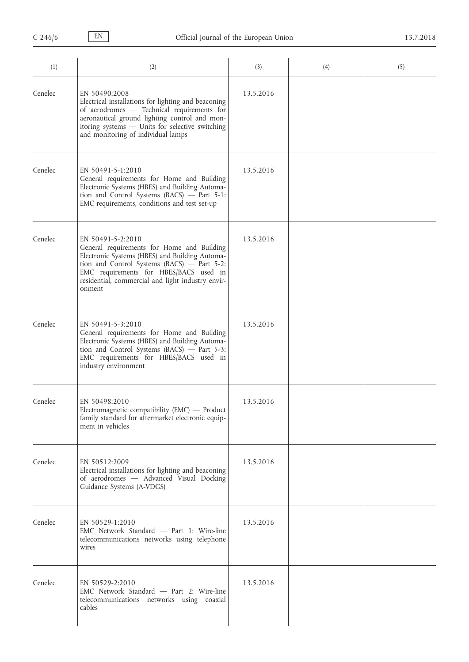| (1)     | (2)                                                                                                                                                                                                                                                                       | (3)       | (4) | (5) |
|---------|---------------------------------------------------------------------------------------------------------------------------------------------------------------------------------------------------------------------------------------------------------------------------|-----------|-----|-----|
| Cenelec | EN 50490:2008<br>Electrical installations for lighting and beaconing<br>of aerodromes - Technical requirements for<br>aeronautical ground lighting control and mon-<br>itoring systems - Units for selective switching<br>and monitoring of individual lamps              | 13.5.2016 |     |     |
| Cenelec | EN 50491-5-1:2010<br>General requirements for Home and Building<br>Electronic Systems (HBES) and Building Automa-<br>tion and Control Systems (BACS) - Part 5-1:<br>EMC requirements, conditions and test set-up                                                          | 13.5.2016 |     |     |
| Cenelec | EN 50491-5-2:2010<br>General requirements for Home and Building<br>Electronic Systems (HBES) and Building Automa-<br>tion and Control Systems (BACS) - Part 5-2:<br>EMC requirements for HBES/BACS used in<br>residential, commercial and light industry envir-<br>onment | 13.5.2016 |     |     |
| Cenelec | EN 50491-5-3:2010<br>General requirements for Home and Building<br>Electronic Systems (HBES) and Building Automa-<br>tion and Control Systems (BACS) - Part 5-3:<br>EMC requirements for HBES/BACS used in<br>industry environment                                        | 13.5.2016 |     |     |
| Cenelec | EN 50498:2010<br>Electromagnetic compatibility (EMC) - Product<br>family standard for aftermarket electronic equip-<br>ment in vehicles                                                                                                                                   | 13.5.2016 |     |     |
| Cenelec | EN 50512:2009<br>Electrical installations for lighting and beaconing<br>of aerodromes - Advanced Visual Docking<br>Guidance Systems (A-VDGS)                                                                                                                              | 13.5.2016 |     |     |
| Cenelec | EN 50529-1:2010<br>EMC Network Standard - Part 1: Wire-line<br>telecommunications networks using telephone<br>wires                                                                                                                                                       | 13.5.2016 |     |     |
| Cenelec | EN 50529-2:2010<br>EMC Network Standard - Part 2: Wire-line<br>telecommunications networks using coaxial<br>cables                                                                                                                                                        | 13.5.2016 |     |     |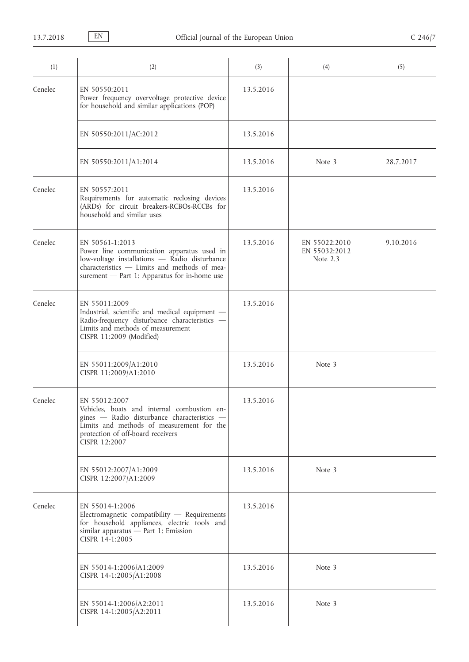| (1)     | (2)                                                                                                                                                                                                                | (3)       | (4)                                        | (5)       |
|---------|--------------------------------------------------------------------------------------------------------------------------------------------------------------------------------------------------------------------|-----------|--------------------------------------------|-----------|
| Cenelec | EN 50550:2011<br>Power frequency overvoltage protective device<br>for household and similar applications (POP)                                                                                                     | 13.5.2016 |                                            |           |
|         | EN 50550:2011/AC:2012                                                                                                                                                                                              | 13.5.2016 |                                            |           |
|         | EN 50550:2011/A1:2014                                                                                                                                                                                              | 13.5.2016 | Note 3                                     | 28.7.2017 |
| Cenelec | EN 50557:2011<br>Requirements for automatic reclosing devices<br>(ARDs) for circuit breakers-RCBOs-RCCBs for<br>household and similar uses                                                                         | 13.5.2016 |                                            |           |
| Cenelec | EN 50561-1:2013<br>Power line communication apparatus used in<br>$low-voltage$ installations $-$ Radio disturbance<br>characteristics - Limits and methods of mea-<br>surement - Part 1: Apparatus for in-home use | 13.5.2016 | EN 55022:2010<br>EN 55032:2012<br>Note 2.3 | 9.10.2016 |
| Cenelec | EN 55011:2009<br>Industrial, scientific and medical equipment -<br>Radio-frequency disturbance characteristics -<br>Limits and methods of measurement<br>CISPR 11:2009 (Modified)                                  | 13.5.2016 |                                            |           |
|         | EN 55011:2009/A1:2010<br>CISPR 11:2009/A1:2010                                                                                                                                                                     | 13.5.2016 | Note 3                                     |           |
| Cenelec | EN 55012:2007<br>Vehicles, boats and internal combustion en-<br>gines - Radio disturbance characteristics -<br>Limits and methods of measurement for the<br>protection of off-board receivers<br>CISPR 12:2007     | 13.5.2016 |                                            |           |
|         | EN 55012:2007/A1:2009<br>CISPR 12:2007/A1:2009                                                                                                                                                                     | 13.5.2016 | Note 3                                     |           |
| Cenelec | EN 55014-1:2006<br>Electromagnetic compatibility - Requirements<br>for household appliances, electric tools and<br>similar apparatus - Part 1: Emission<br>CISPR 14-1:2005                                         | 13.5.2016 |                                            |           |
|         | EN 55014-1:2006/A1:2009<br>CISPR 14-1:2005/A1:2008                                                                                                                                                                 | 13.5.2016 | Note 3                                     |           |
|         | EN 55014-1:2006/A2:2011<br>CISPR 14-1:2005/A2:2011                                                                                                                                                                 | 13.5.2016 | Note 3                                     |           |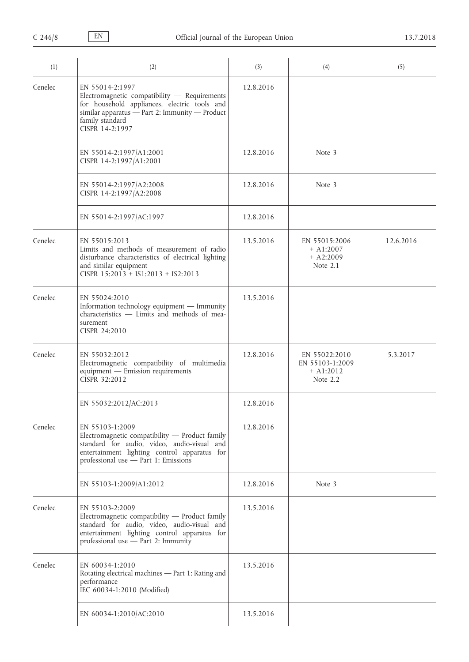| (1)     | (2)                                                                                                                                                                                                      | (3)       | (4)                                                           | (5)       |
|---------|----------------------------------------------------------------------------------------------------------------------------------------------------------------------------------------------------------|-----------|---------------------------------------------------------------|-----------|
| Cenelec | EN 55014-2:1997<br>Electromagnetic compatibility - Requirements<br>for household appliances, electric tools and<br>similar apparatus - Part 2: Immunity - Product<br>family standard<br>CISPR 14-2:1997  | 12.8.2016 |                                                               |           |
|         | EN 55014-2:1997/A1:2001<br>CISPR 14-2:1997/A1:2001                                                                                                                                                       | 12.8.2016 | Note 3                                                        |           |
|         | EN 55014-2:1997/A2:2008<br>CISPR 14-2:1997/A2:2008                                                                                                                                                       | 12.8.2016 | Note 3                                                        |           |
|         | EN 55014-2:1997/AC:1997                                                                                                                                                                                  | 12.8.2016 |                                                               |           |
| Cenelec | EN 55015:2013<br>Limits and methods of measurement of radio<br>disturbance characteristics of electrical lighting<br>and similar equipment<br>CISPR 15:2013 + IS1:2013 + IS2:2013                        | 13.5.2016 | EN 55015:2006<br>$+$ A1:2007<br>$+ A2:2009$<br>Note 2.1       | 12.6.2016 |
| Cenelec | EN 55024:2010<br>Information technology equipment - Immunity<br>characteristics - Limits and methods of mea-<br>surement<br>CISPR 24:2010                                                                | 13.5.2016 |                                                               |           |
| Cenelec | EN 55032:2012<br>Electromagnetic compatibility of multimedia<br>equipment - Emission requirements<br>CISPR 32:2012                                                                                       | 12.8.2016 | EN 55022:2010<br>EN 55103-1:2009<br>$+$ A1:2012<br>Note $2.2$ | 5.3.2017  |
|         | EN 55032:2012/AC:2013                                                                                                                                                                                    | 12.8.2016 |                                                               |           |
| Cenelec | EN 55103-1:2009<br>Electromagnetic compatibility - Product family<br>standard for audio, video, audio-visual and<br>entertainment lighting control apparatus for<br>professional use - Part 1: Emissions | 12.8.2016 |                                                               |           |
|         | EN 55103-1:2009/A1:2012                                                                                                                                                                                  | 12.8.2016 | Note 3                                                        |           |
| Cenelec | EN 55103-2:2009<br>Electromagnetic compatibility - Product family<br>standard for audio, video, audio-visual and<br>entertainment lighting control apparatus for<br>professional use - Part 2: Immunity  | 13.5.2016 |                                                               |           |
| Cenelec | EN 60034-1:2010<br>Rotating electrical machines - Part 1: Rating and<br>performance<br>IEC 60034-1:2010 (Modified)                                                                                       | 13.5.2016 |                                                               |           |
|         | EN 60034-1:2010/AC:2010                                                                                                                                                                                  | 13.5.2016 |                                                               |           |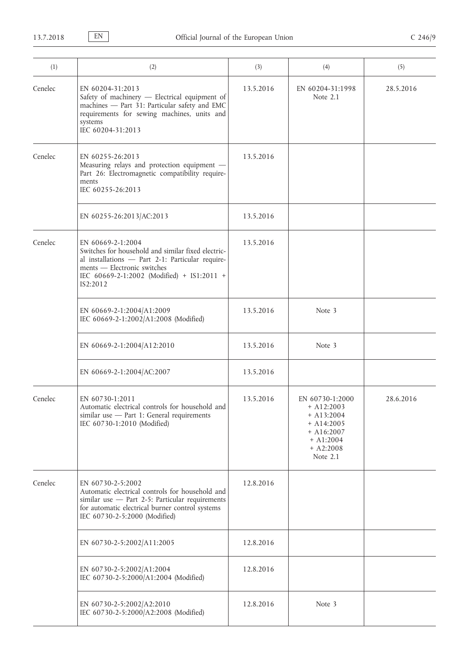| (1)     | (2)                                                                                                                                                                                                                  | (3)       | (4)                                                                                                                       | (5)       |
|---------|----------------------------------------------------------------------------------------------------------------------------------------------------------------------------------------------------------------------|-----------|---------------------------------------------------------------------------------------------------------------------------|-----------|
| Cenelec | EN 60204-31:2013<br>Safety of machinery - Electrical equipment of<br>machines - Part 31: Particular safety and EMC<br>requirements for sewing machines, units and<br>systems<br>IEC 60204-31:2013                    | 13.5.2016 | EN 60204-31:1998<br>Note 2.1                                                                                              | 28.5.2016 |
| Cenelec | EN 60255-26:2013<br>Measuring relays and protection equipment -<br>Part 26: Electromagnetic compatibility require-<br>ments<br>IEC 60255-26:2013                                                                     | 13.5.2016 |                                                                                                                           |           |
|         | EN 60255-26:2013/AC:2013                                                                                                                                                                                             | 13.5.2016 |                                                                                                                           |           |
| Cenelec | EN 60669-2-1:2004<br>Switches for household and similar fixed electric-<br>al installations - Part 2-1: Particular require-<br>ments - Electronic switches<br>IEC 60669-2-1:2002 (Modified) + IS1:2011 +<br>IS2:2012 | 13.5.2016 |                                                                                                                           |           |
|         | EN 60669-2-1:2004/A1:2009<br>IEC 60669-2-1:2002/A1:2008 (Modified)                                                                                                                                                   | 13.5.2016 | Note 3                                                                                                                    |           |
|         | EN 60669-2-1:2004/A12:2010                                                                                                                                                                                           | 13.5.2016 | Note 3                                                                                                                    |           |
|         | EN 60669-2-1:2004/AC:2007                                                                                                                                                                                            | 13.5.2016 |                                                                                                                           |           |
| Cenelec | EN 60730-1:2011<br>Automatic electrical controls for household and<br>similar use - Part 1: General requirements<br>IEC 60730-1:2010 (Modified)                                                                      | 13.5.2016 | EN 60730-1:2000<br>$+$ A12:2003<br>$+$ A13:2004<br>$+$ A14:2005<br>$+$ A16:2007<br>$+$ A1:2004<br>$+ A2:2008$<br>Note 2.1 | 28.6.2016 |
| Cenelec | EN 60730-2-5:2002<br>Automatic electrical controls for household and<br>similar use - Part 2-5: Particular requirements<br>for automatic electrical burner control systems<br>IEC 60730-2-5:2000 (Modified)          | 12.8.2016 |                                                                                                                           |           |
|         | EN 60730-2-5:2002/A11:2005                                                                                                                                                                                           | 12.8.2016 |                                                                                                                           |           |
|         | EN 60730-2-5:2002/A1:2004<br>IEC 60730-2-5:2000/A1:2004 (Modified)                                                                                                                                                   | 12.8.2016 |                                                                                                                           |           |
|         | EN 60730-2-5:2002/A2:2010<br>IEC 60730-2-5:2000/A2:2008 (Modified)                                                                                                                                                   | 12.8.2016 | Note 3                                                                                                                    |           |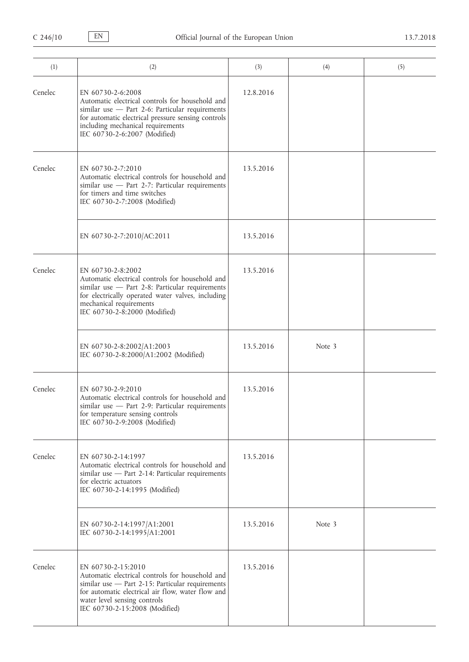| (1)     | (2)                                                                                                                                                                                                                                                 | (3)       | (4)    | (5) |
|---------|-----------------------------------------------------------------------------------------------------------------------------------------------------------------------------------------------------------------------------------------------------|-----------|--------|-----|
| Cenelec | EN 60730-2-6:2008<br>Automatic electrical controls for household and<br>similar use - Part 2-6: Particular requirements<br>for automatic electrical pressure sensing controls<br>including mechanical requirements<br>IEC 60730-2-6:2007 (Modified) | 12.8.2016 |        |     |
| Cenelec | EN 60730-2-7:2010<br>Automatic electrical controls for household and<br>similar use - Part 2-7: Particular requirements<br>for timers and time switches<br>IEC 60730-2-7:2008 (Modified)                                                            | 13.5.2016 |        |     |
|         | EN 60730-2-7:2010/AC:2011                                                                                                                                                                                                                           | 13.5.2016 |        |     |
| Cenelec | EN 60730-2-8:2002<br>Automatic electrical controls for household and<br>similar use $-$ Part 2-8: Particular requirements<br>for electrically operated water valves, including<br>mechanical requirements<br>IEC 60730-2-8:2000 (Modified)          | 13.5.2016 |        |     |
|         | EN 60730-2-8:2002/A1:2003<br>IEC 60730-2-8:2000/A1:2002 (Modified)                                                                                                                                                                                  | 13.5.2016 | Note 3 |     |
| Cenelec | EN 60730-2-9:2010<br>Automatic electrical controls for household and<br>similar use $-$ Part 2-9: Particular requirements<br>for temperature sensing controls<br>IEC 60730-2-9:2008 (Modified)                                                      | 13.5.2016 |        |     |
| Cenelec | EN 60730-2-14:1997<br>Automatic electrical controls for household and<br>similar use - Part 2-14: Particular requirements<br>for electric actuators<br>IEC 60730-2-14:1995 (Modified)                                                               | 13.5.2016 |        |     |
|         | EN 60730-2-14:1997/A1:2001<br>IEC 60730-2-14:1995/A1:2001                                                                                                                                                                                           | 13.5.2016 | Note 3 |     |
| Cenelec | EN 60730-2-15:2010<br>Automatic electrical controls for household and<br>similar use $-$ Part 2-15: Particular requirements<br>for automatic electrical air flow, water flow and<br>water level sensing controls<br>IEC 60730-2-15:2008 (Modified)  | 13.5.2016 |        |     |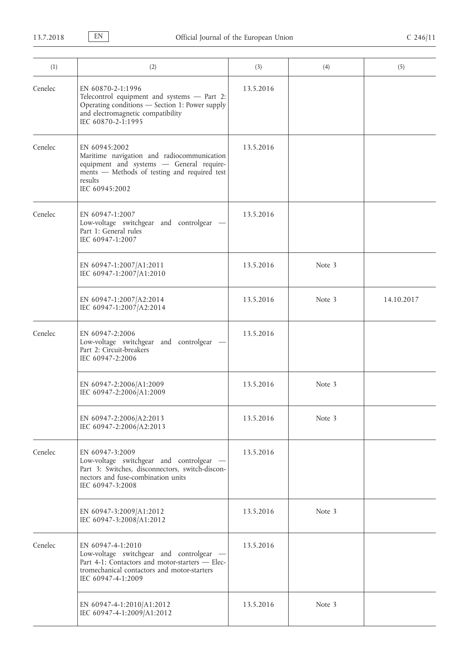| (1)     | (2)                                                                                                                                                                                   | (3)       | (4)    | (5)        |
|---------|---------------------------------------------------------------------------------------------------------------------------------------------------------------------------------------|-----------|--------|------------|
| Cenelec | EN 60870-2-1:1996<br>Telecontrol equipment and systems - Part 2:<br>Operating conditions - Section 1: Power supply<br>and electromagnetic compatibility<br>IEC 60870-2-1:1995         | 13.5.2016 |        |            |
| Cenelec | EN 60945:2002<br>Maritime navigation and radiocommunication<br>equipment and systems - General require-<br>ments - Methods of testing and required test<br>results<br>IEC 60945:2002  | 13.5.2016 |        |            |
| Cenelec | EN 60947-1:2007<br>Low-voltage switchgear and controlgear -<br>Part 1: General rules<br>IEC 60947-1:2007                                                                              | 13.5.2016 |        |            |
|         | EN 60947-1:2007/A1:2011<br>IEC 60947-1:2007/A1:2010                                                                                                                                   | 13.5.2016 | Note 3 |            |
|         | EN 60947-1:2007/A2:2014<br>IEC 60947-1:2007/A2:2014                                                                                                                                   | 13.5.2016 | Note 3 | 14.10.2017 |
| Cenelec | EN 60947-2:2006<br>Low-voltage switchgear and controlgear<br>Part 2: Circuit-breakers<br>IEC 60947-2:2006                                                                             | 13.5.2016 |        |            |
|         | EN 60947-2:2006/A1:2009<br>IEC 60947-2:2006/A1:2009                                                                                                                                   | 13.5.2016 | Note 3 |            |
|         | EN 60947-2:2006/A2:2013<br>IEC 60947-2:2006/A2:2013                                                                                                                                   | 13.5.2016 | Note 3 |            |
| Cenelec | EN 60947-3:2009<br>Low-voltage switchgear and controlgear -<br>Part 3: Switches, disconnectors, switch-discon-<br>nectors and fuse-combination units<br>IEC 60947-3:2008              | 13.5.2016 |        |            |
|         | EN 60947-3:2009/A1:2012<br>IEC 60947-3:2008/A1:2012                                                                                                                                   | 13.5.2016 | Note 3 |            |
| Cenelec | EN 60947-4-1:2010<br>Low-voltage switchgear and controlgear -<br>Part 4-1: Contactors and motor-starters - Elec-<br>tromechanical contactors and motor-starters<br>IEC 60947-4-1:2009 | 13.5.2016 |        |            |
|         | EN 60947-4-1:2010/A1:2012<br>IEC 60947-4-1:2009/A1:2012                                                                                                                               | 13.5.2016 | Note 3 |            |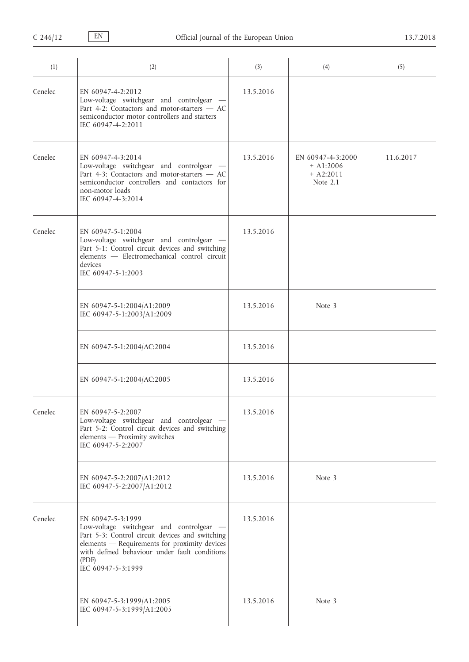| (1)     | (2)                                                                                                                                                                                                                                               | (3)       | (4)                                                         | (5)       |
|---------|---------------------------------------------------------------------------------------------------------------------------------------------------------------------------------------------------------------------------------------------------|-----------|-------------------------------------------------------------|-----------|
| Cenelec | EN 60947-4-2:2012<br>Low-voltage switchgear and controlgear -<br>Part 4-2: Contactors and motor-starters - AC<br>semiconductor motor controllers and starters<br>IEC 60947-4-2:2011                                                               | 13.5.2016 |                                                             |           |
| Cenelec | EN 60947-4-3:2014<br>Low-voltage switchgear and controlgear -<br>Part 4-3: Contactors and motor-starters - AC<br>semiconductor controllers and contactors for<br>non-motor loads<br>IEC 60947-4-3:2014                                            | 13.5.2016 | EN 60947-4-3:2000<br>$+$ A1:2006<br>$+ A2:2011$<br>Note 2.1 | 11.6.2017 |
| Cenelec | EN 60947-5-1:2004<br>Low-voltage switchgear and controlgear -<br>Part 5-1: Control circuit devices and switching<br>elements - Electromechanical control circuit<br>devices<br>IEC 60947-5-1:2003                                                 | 13.5.2016 |                                                             |           |
|         | EN 60947-5-1:2004/A1:2009<br>IEC 60947-5-1:2003/A1:2009                                                                                                                                                                                           | 13.5.2016 | Note 3                                                      |           |
|         | EN 60947-5-1:2004/AC:2004                                                                                                                                                                                                                         | 13.5.2016 |                                                             |           |
|         | EN 60947-5-1:2004/AC:2005                                                                                                                                                                                                                         | 13.5.2016 |                                                             |           |
| Cenelec | EN 60947-5-2:2007<br>Low-voltage switchgear and controlgear -<br>Part 5-2: Control circuit devices and switching<br>elements - Proximity switches<br>IEC 60947-5-2:2007                                                                           | 13.5.2016 |                                                             |           |
|         | EN 60947-5-2:2007/A1:2012<br>IEC 60947-5-2:2007/A1:2012                                                                                                                                                                                           | 13.5.2016 | Note 3                                                      |           |
| Cenelec | EN 60947-5-3:1999<br>Low-voltage switchgear and controlgear -<br>Part 5-3: Control circuit devices and switching<br>elements - Requirements for proximity devices<br>with defined behaviour under fault conditions<br>(PDF)<br>IEC 60947-5-3:1999 | 13.5.2016 |                                                             |           |
|         | EN 60947-5-3:1999/A1:2005<br>IEC 60947-5-3:1999/A1:2005                                                                                                                                                                                           | 13.5.2016 | Note 3                                                      |           |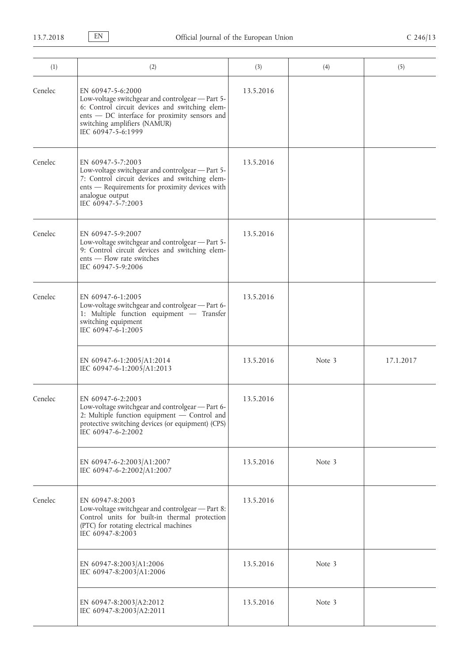| (1)     | (2)                                                                                                                                                                                                                            | (3)       | (4)    | (5)       |
|---------|--------------------------------------------------------------------------------------------------------------------------------------------------------------------------------------------------------------------------------|-----------|--------|-----------|
| Cenelec | EN 60947-5-6:2000<br>Low-voltage switchgear and controlgear - Part 5-<br>6: Control circuit devices and switching elem-<br>ents - DC interface for proximity sensors and<br>switching amplifiers (NAMUR)<br>IEC 60947-5-6:1999 | 13.5.2016 |        |           |
| Cenelec | EN 60947-5-7:2003<br>Low-voltage switchgear and controlgear - Part 5-<br>7: Control circuit devices and switching elem-<br>ents - Requirements for proximity devices with<br>analogue output<br>IEC 60947-5-7:2003             | 13.5.2016 |        |           |
| Cenelec | EN 60947-5-9:2007<br>Low-voltage switchgear and controlgear - Part 5-<br>9: Control circuit devices and switching elem-<br>ents - Flow rate switches<br>IEC 60947-5-9:2006                                                     | 13.5.2016 |        |           |
| Cenelec | EN 60947-6-1:2005<br>Low-voltage switchgear and controlgear - Part 6-<br>1: Multiple function equipment - Transfer<br>switching equipment<br>IEC 60947-6-1:2005                                                                | 13.5.2016 |        |           |
|         | EN 60947-6-1:2005/A1:2014<br>IEC 60947-6-1:2005/A1:2013                                                                                                                                                                        | 13.5.2016 | Note 3 | 17.1.2017 |
| Cenelec | EN 60947-6-2:2003<br>Low-voltage switchgear and controlgear - Part 6-<br>2: Multiple function equipment - Control and<br>protective switching devices (or equipment) (CPS)<br>IEC 60947-6-2:2002                               | 13.5.2016 |        |           |
|         | EN 60947-6-2:2003/A1:2007<br>IEC 60947-6-2:2002/A1:2007                                                                                                                                                                        | 13.5.2016 | Note 3 |           |
| Cenelec | EN 60947-8:2003<br>Low-voltage switchgear and controlgear - Part 8:<br>Control units for built-in thermal protection<br>(PTC) for rotating electrical machines<br>IEC 60947-8:2003                                             | 13.5.2016 |        |           |
|         | EN 60947-8:2003/A1:2006<br>IEC 60947-8:2003/A1:2006                                                                                                                                                                            | 13.5.2016 | Note 3 |           |
|         | EN 60947-8:2003/A2:2012<br>IEC 60947-8:2003/A2:2011                                                                                                                                                                            | 13.5.2016 | Note 3 |           |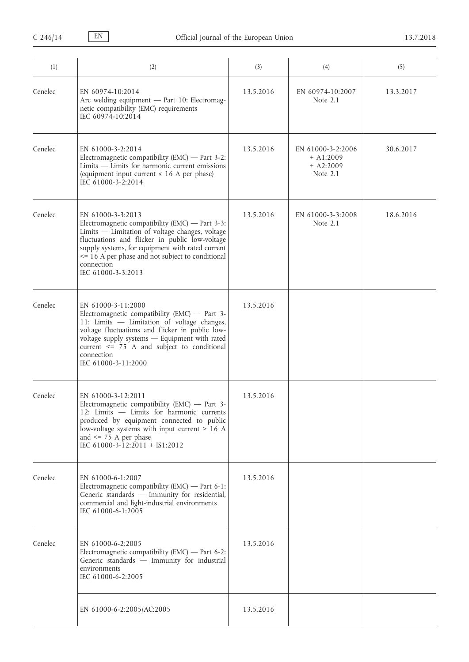| (1)     | (2)                                                                                                                                                                                                                                                                                                                   | (3)       | (4)                                                         | (5)       |
|---------|-----------------------------------------------------------------------------------------------------------------------------------------------------------------------------------------------------------------------------------------------------------------------------------------------------------------------|-----------|-------------------------------------------------------------|-----------|
| Cenelec | EN 60974-10:2014<br>Arc welding equipment - Part 10: Electromag-<br>netic compatibility (EMC) requirements<br>IEC 60974-10:2014                                                                                                                                                                                       | 13.5.2016 | EN 60974-10:2007<br>Note 2.1                                | 13.3.2017 |
| Cenelec | EN 61000-3-2:2014<br>Electromagnetic compatibility (EMC) — Part 3-2:<br>$Limits$ - Limits for harmonic current emissions<br>(equipment input current $\leq 16$ A per phase)<br>IEC 61000-3-2:2014                                                                                                                     | 13.5.2016 | EN 61000-3-2:2006<br>$+$ A1:2009<br>$+ A2:2009$<br>Note 2.1 | 30.6.2017 |
| Cenelec | EN 61000-3-3:2013<br>Electromagnetic compatibility (EMC) — Part 3-3:<br>Limits - Limitation of voltage changes, voltage<br>fluctuations and flicker in public low-voltage<br>supply systems, for equipment with rated current<br><= 16 A per phase and not subject to conditional<br>connection<br>IEC 61000-3-3:2013 | 13.5.2016 | EN 61000-3-3:2008<br>Note 2.1                               | 18.6.2016 |
| Cenelec | EN 61000-3-11:2000<br>Electromagnetic compatibility (EMC) $-$ Part 3-<br>11: Limits - Limitation of voltage changes,<br>voltage fluctuations and flicker in public low-<br>voltage supply systems - Equipment with rated<br>current <= 75 A and subject to conditional<br>connection<br>IEC 61000-3-11:2000           | 13.5.2016 |                                                             |           |
| Cenelec | EN 61000-3-12:2011<br>Electromagnetic compatibility (EMC) $-$ Part 3-<br>12: Limits - Limits for harmonic currents<br>produced by equipment connected to public<br>low-voltage systems with input current > 16 A<br>and $\le$ 75 A per phase<br>IEC 61000-3-12:2011 + IS1:2012                                        | 13.5.2016 |                                                             |           |
| Cenelec | EN 61000-6-1:2007<br>Electromagnetic compatibility (EMC) — Part 6-1:<br>Generic standards - Immunity for residential,<br>commercial and light-industrial environments<br>IEC 61000-6-1:2005                                                                                                                           | 13.5.2016 |                                                             |           |
| Cenelec | EN 61000-6-2:2005<br>Electromagnetic compatibility (EMC) — Part 6-2:<br>Generic standards - Immunity for industrial<br>environments<br>IEC 61000-6-2:2005                                                                                                                                                             | 13.5.2016 |                                                             |           |
|         | EN 61000-6-2:2005/AC:2005                                                                                                                                                                                                                                                                                             | 13.5.2016 |                                                             |           |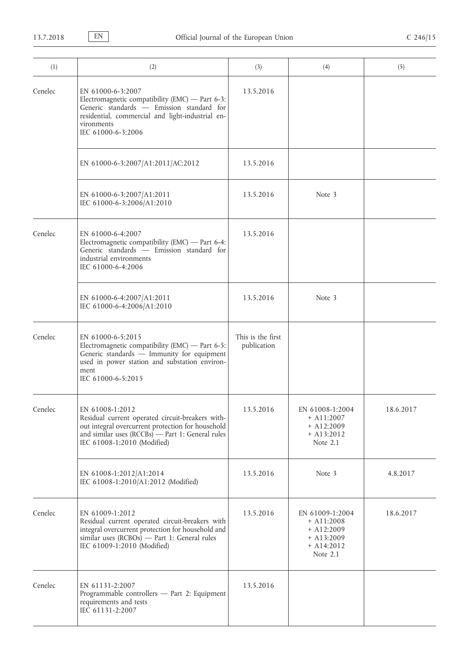| (1)     | (2)                                                                                                                                                                                                           | (3)                              | (4)                                                                                         | (5)       |
|---------|---------------------------------------------------------------------------------------------------------------------------------------------------------------------------------------------------------------|----------------------------------|---------------------------------------------------------------------------------------------|-----------|
| Cenelec | EN 61000-6-3:2007<br>Electromagnetic compatibility (EMC) - Part 6-3:<br>Generic standards - Emission standard for<br>residential, commercial and light-industrial en-<br>vironments<br>IEC 61000-6-3:2006     | 13.5.2016                        |                                                                                             |           |
|         | EN 61000-6-3:2007/A1:2011/AC:2012                                                                                                                                                                             | 13.5.2016                        |                                                                                             |           |
|         | EN 61000-6-3:2007/A1:2011<br>IEC 61000-6-3:2006/A1:2010                                                                                                                                                       | 13.5.2016                        | Note 3                                                                                      |           |
| Cenelec | EN 61000-6-4:2007<br>Electromagnetic compatibility (EMC) - Part 6-4:<br>Generic standards - Emission standard for<br>industrial environments<br>IEC 61000-6-4:2006                                            | 13.5.2016                        |                                                                                             |           |
|         | EN 61000-6-4:2007/A1:2011<br>IEC 61000-6-4:2006/A1:2010                                                                                                                                                       | 13.5.2016                        | Note 3                                                                                      |           |
| Cenelec | EN 61000-6-5:2015<br>Electromagnetic compatibility (EMC) - Part $6-5$ :<br>Generic standards - Immunity for equipment<br>used in power station and substation environ-<br>ment<br>IEC 61000-6-5:2015          | This is the first<br>publication |                                                                                             |           |
| Cenelec | EN 61008-1:2012<br>Residual current operated circuit-breakers with-<br>out integral overcurrent protection for household<br>and similar uses $(RCCBs)$ - Part 1: General rules<br>IEC 61008-1:2010 (Modified) | 13.5.2016                        | EN 61008-1:2004<br>$+$ A11:2007<br>$+$ A12:2009<br>$+$ A13:2012<br>Note 2.1                 | 18.6.2017 |
|         | EN 61008-1:2012/A1:2014<br>IEC 61008-1:2010/A1:2012 (Modified)                                                                                                                                                | 13.5.2016                        | Note 3                                                                                      | 4.8.2017  |
| Cenelec | EN 61009-1:2012<br>Residual current operated circuit-breakers with<br>integral overcurrent protection for household and<br>similar uses $(RCBOs)$ - Part 1: General rules<br>IEC 61009-1:2010 (Modified)      | 13.5.2016                        | EN 61009-1:2004<br>$+$ A11:2008<br>$+$ A12:2009<br>$+$ A13:2009<br>$+$ A14:2012<br>Note 2.1 | 18.6.2017 |
| Cenelec | EN 61131-2:2007<br>Programmable controllers - Part 2: Equipment<br>requirements and tests<br>IEC 61131-2:2007                                                                                                 | 13.5.2016                        |                                                                                             |           |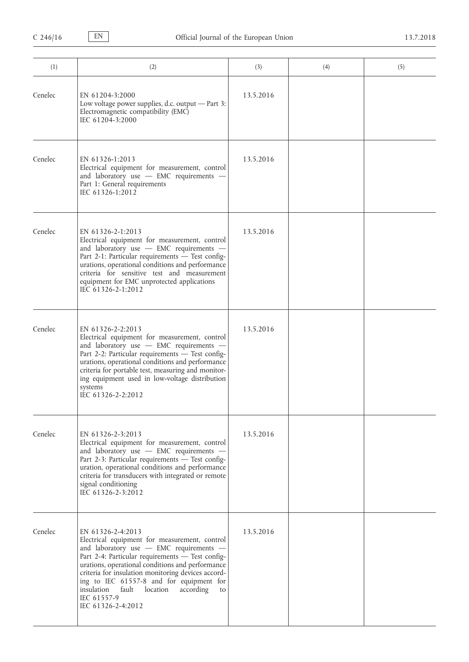| (1)     | (2)                                                                                                                                                                                                                                                                                                                                                                                                                | (3)       | (4) | (5) |
|---------|--------------------------------------------------------------------------------------------------------------------------------------------------------------------------------------------------------------------------------------------------------------------------------------------------------------------------------------------------------------------------------------------------------------------|-----------|-----|-----|
| Cenelec | EN 61204-3:2000<br>Low voltage power supplies, d.c. output - Part 3:<br>Electromagnetic compatibility (EMC)<br>IEC 61204-3:2000                                                                                                                                                                                                                                                                                    | 13.5.2016 |     |     |
| Cenelec | EN 61326-1:2013<br>Electrical equipment for measurement, control<br>and laboratory use - EMC requirements -<br>Part 1: General requirements<br>IEC 61326-1:2012                                                                                                                                                                                                                                                    | 13.5.2016 |     |     |
| Cenelec | EN 61326-2-1:2013<br>Electrical equipment for measurement, control<br>and laboratory use - EMC requirements -<br>Part 2-1: Particular requirements - Test config-<br>urations, operational conditions and performance<br>criteria for sensitive test and measurement<br>equipment for EMC unprotected applications<br>IEC 61326-2-1:2012                                                                           | 13.5.2016 |     |     |
| Cenelec | EN 61326-2-2:2013<br>Electrical equipment for measurement, control<br>and laboratory use - EMC requirements -<br>Part 2-2: Particular requirements - Test config-<br>urations, operational conditions and performance<br>criteria for portable test, measuring and monitor-<br>ing equipment used in low-voltage distribution<br>systems<br>IEC 61326-2-2:2012                                                     | 13.5.2016 |     |     |
| Cenelec | EN 61326-2-3:2013<br>Electrical equipment for measurement, control<br>and laboratory use - EMC requirements -<br>Part 2-3: Particular requirements - Test config-<br>uration, operational conditions and performance<br>criteria for transducers with integrated or remote<br>signal conditioning<br>IEC 61326-2-3:2012                                                                                            | 13.5.2016 |     |     |
| Cenelec | EN 61326-2-4:2013<br>Electrical equipment for measurement, control<br>and laboratory use - EMC requirements -<br>Part 2-4: Particular requirements - Test config-<br>urations, operational conditions and performance<br>criteria for insulation monitoring devices accord-<br>ing to IEC 61557-8 and for equipment for<br>insulation<br>fault<br>location<br>according<br>to<br>IEC 61557-9<br>IEC 61326-2-4:2012 | 13.5.2016 |     |     |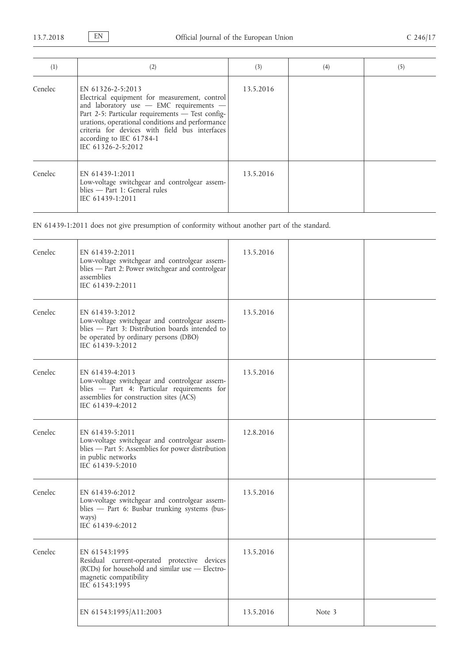| (1)     | (2)                                                                                                                                                                                                                                                                                                                       | (3)       | (4) | (5) |
|---------|---------------------------------------------------------------------------------------------------------------------------------------------------------------------------------------------------------------------------------------------------------------------------------------------------------------------------|-----------|-----|-----|
| Cenelec | EN 61326-2-5:2013<br>Electrical equipment for measurement, control<br>and laboratory use - EMC requirements -<br>Part 2-5: Particular requirements - Test config-<br>urations, operational conditions and performance<br>criteria for devices with field bus interfaces<br>according to IEC 61784-1<br>IEC 61326-2-5:2012 | 13.5.2016 |     |     |
| Cenelec | EN 61439-1:2011<br>Low-voltage switchgear and controlgear assem-<br>blies - Part 1: General rules<br>IEC 61439-1:2011                                                                                                                                                                                                     | 13.5.2016 |     |     |

EN 61439-1:2011 does not give presumption of conformity without another part of the standard.

| Cenelec | EN 61439-2:2011<br>Low-voltage switchgear and controlgear assem-<br>blies - Part 2: Power switchgear and controlgear<br>assemblies<br>IEC 61439-2:2011                           | 13.5.2016 |        |  |
|---------|----------------------------------------------------------------------------------------------------------------------------------------------------------------------------------|-----------|--------|--|
| Cenelec | EN 61439-3:2012<br>Low-voltage switchgear and controlgear assem-<br>blies - Part 3: Distribution boards intended to<br>be operated by ordinary persons (DBO)<br>IEC 61439-3:2012 | 13.5.2016 |        |  |
| Cenelec | EN 61439-4:2013<br>Low-voltage switchgear and controlgear assem-<br>blies - Part 4: Particular requirements for<br>assemblies for construction sites (ACS)<br>IEC 61439-4:2012   | 13.5.2016 |        |  |
| Cenelec | EN 61439-5:2011<br>Low-voltage switchgear and controlgear assem-<br>blies - Part 5: Assemblies for power distribution<br>in public networks<br>IEC 61439-5:2010                  | 12.8.2016 |        |  |
| Cenelec | EN 61439-6:2012<br>Low-voltage switchgear and controlgear assem-<br>blies - Part 6: Busbar trunking systems (bus-<br>ways)<br>IEC 61439-6:2012                                   | 13.5.2016 |        |  |
| Cenelec | EN 61543:1995<br>Residual current-operated protective devices<br>(RCDs) for household and similar use - Electro-<br>magnetic compatibility<br>IEC 61543:1995                     | 13.5.2016 |        |  |
|         | EN 61543:1995/A11:2003                                                                                                                                                           | 13.5.2016 | Note 3 |  |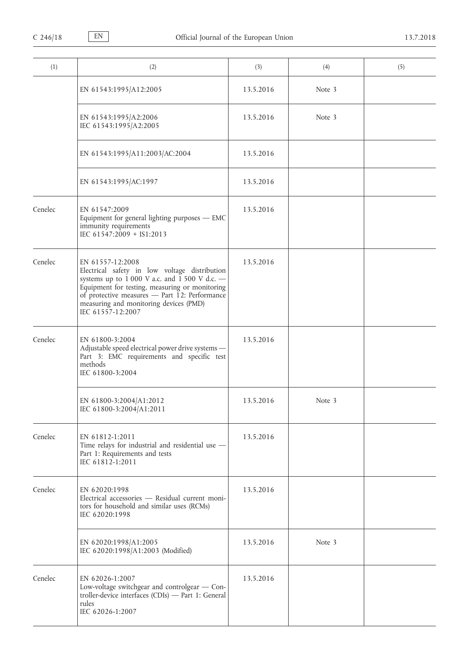| (1)     | (2)                                                                                                                                                                                                                                                                                    | (3)       | (4)    | (5) |
|---------|----------------------------------------------------------------------------------------------------------------------------------------------------------------------------------------------------------------------------------------------------------------------------------------|-----------|--------|-----|
|         | EN 61543:1995/A12:2005                                                                                                                                                                                                                                                                 | 13.5.2016 | Note 3 |     |
|         | EN 61543:1995/A2:2006<br>IEC 61543:1995/A2:2005                                                                                                                                                                                                                                        | 13.5.2016 | Note 3 |     |
|         | EN 61543:1995/A11:2003/AC:2004                                                                                                                                                                                                                                                         | 13.5.2016 |        |     |
|         | EN 61543:1995/AC:1997                                                                                                                                                                                                                                                                  | 13.5.2016 |        |     |
| Cenelec | EN 61547:2009<br>Equipment for general lighting purposes - EMC<br>immunity requirements<br>IEC 61547:2009 + IS1:2013                                                                                                                                                                   | 13.5.2016 |        |     |
| Cenelec | EN 61557-12:2008<br>Electrical safety in low voltage distribution<br>systems up to $1000$ V a.c. and $1500$ V d.c. -<br>Equipment for testing, measuring or monitoring<br>of protective measures - Part 12: Performance<br>measuring and monitoring devices (PMD)<br>IEC 61557-12:2007 | 13.5.2016 |        |     |
| Cenelec | EN 61800-3:2004<br>Adjustable speed electrical power drive systems-<br>Part 3: EMC requirements and specific test<br>methods<br>IEC 61800-3:2004                                                                                                                                       | 13.5.2016 |        |     |
|         | EN 61800-3:2004/A1:2012<br>IEC 61800-3:2004/A1:2011                                                                                                                                                                                                                                    | 13.5.2016 | Note 3 |     |
| Cenelec | EN 61812-1:2011<br>Time relays for industrial and residential use -<br>Part 1: Requirements and tests<br>IEC 61812-1:2011                                                                                                                                                              | 13.5.2016 |        |     |
| Cenelec | EN 62020:1998<br>Electrical accessories - Residual current moni-<br>tors for household and similar uses (RCMs)<br>IEC 62020:1998                                                                                                                                                       | 13.5.2016 |        |     |
|         | EN 62020:1998/A1:2005<br>IEC 62020:1998/A1:2003 (Modified)                                                                                                                                                                                                                             | 13.5.2016 | Note 3 |     |
| Cenelec | EN 62026-1:2007<br>Low-voltage switchgear and controlgear - Con-<br>troller-device interfaces (CDIs) - Part 1: General<br>rules<br>IEC 62026-1:2007                                                                                                                                    | 13.5.2016 |        |     |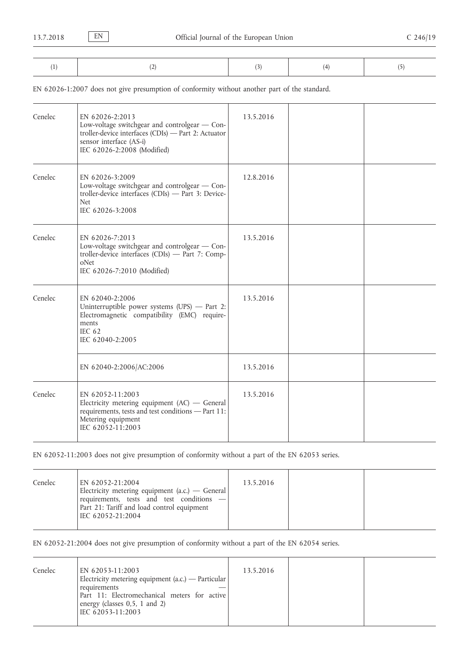EN 62026-1:2007 does not give presumption of conformity without another part of the standard.

| Cenelec | EN 62026-2:2013<br>Low-voltage switchgear and controlgear - Con-<br>troller-device interfaces (CDIs) - Part 2: Actuator<br>sensor interface (AS-i)<br>IEC 62026-2:2008 (Modified) | 13.5.2016 |  |
|---------|-----------------------------------------------------------------------------------------------------------------------------------------------------------------------------------|-----------|--|
| Cenelec | EN 62026-3:2009<br>Low-voltage switchgear and controlgear - Con-<br>troller-device interfaces (CDIs) - Part 3: Device-<br><b>Net</b><br>IEC 62026-3:2008                          | 12.8.2016 |  |
| Cenelec | EN 62026-7:2013<br>Low-voltage switchgear and controlgear - Con-<br>troller-device interfaces (CDIs) - Part 7: Comp-<br>oNet<br>IEC 62026-7:2010 (Modified)                       | 13.5.2016 |  |
| Cenelec | EN 62040-2:2006<br>Uninterruptible power systems $(UPS)$ - Part 2:<br>Electromagnetic compatibility (EMC) require-<br>ments<br>IEC $62$<br>IEC 62040-2:2005                       | 13.5.2016 |  |
|         | EN 62040-2:2006/AC:2006                                                                                                                                                           | 13.5.2016 |  |
| Cenelec | EN 62052-11:2003<br>Electricity metering equipment $(AC)$ - General<br>requirements, tests and test conditions - Part 11:<br>Metering equipment<br>IEC 62052-11:2003              | 13.5.2016 |  |

EN 62052-11:2003 does not give presumption of conformity without a part of the EN 62053 series.

| Cenelec | EN 62052-21:2004<br>Electricity metering equipment (a.c.) — General<br>requirements, tests and test conditions - | 13.5.2016 |  |
|---------|------------------------------------------------------------------------------------------------------------------|-----------|--|
|         | Part 21: Tariff and load control equipment<br>IEC 62052-21:2004                                                  |           |  |

EN 62052-21:2004 does not give presumption of conformity without a part of the EN 62054 series.

| Cenelec | EN 62053-11:2003<br>Electricity metering equipment (a.c.) — Particular | 13.5.2016 |  |
|---------|------------------------------------------------------------------------|-----------|--|
|         | requirements<br>Part 11: Electromechanical meters for active           |           |  |
|         | energy (classes 0,5, 1 and 2)<br>IEC 62053-11:2003                     |           |  |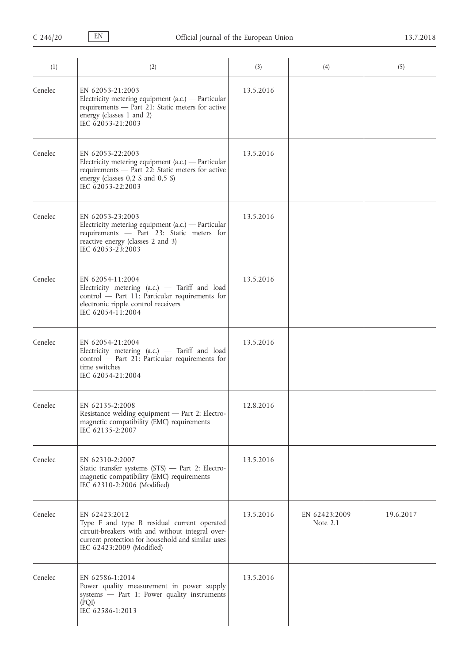| (1)     | (2)                                                                                                                                                                                                | (3)       | (4)                         | (5)       |
|---------|----------------------------------------------------------------------------------------------------------------------------------------------------------------------------------------------------|-----------|-----------------------------|-----------|
| Cenelec | EN 62053-21:2003<br>Electricity metering equipment $(a.c.)$ — Particular<br>requirements - Part 21: Static meters for active<br>energy (classes 1 and 2)<br>IEC 62053-21:2003                      | 13.5.2016 |                             |           |
| Cenelec | EN 62053-22:2003<br>Electricity metering equipment (a.c.) — Particular<br>requirements - Part 22: Static meters for active<br>energy (classes $0,2$ S and $0,5$ S)<br>IEC 62053-22:2003            | 13.5.2016 |                             |           |
| Cenelec | EN 62053-23:2003<br>Electricity metering equipment (a.c.) — Particular<br>requirements - Part 23: Static meters for<br>reactive energy (classes 2 and 3)<br>IEC 62053-23:2003                      | 13.5.2016 |                             |           |
| Cenelec | EN 62054-11:2004<br>Electricity metering (a.c.) $-$ Tariff and load<br>control - Part 11: Particular requirements for<br>electronic ripple control receivers<br>IEC 62054-11:2004                  | 13.5.2016 |                             |           |
| Cenelec | EN 62054-21:2004<br>Electricity metering (a.c.) - Tariff and load<br>control - Part 21: Particular requirements for<br>time switches<br>IEC 62054-21:2004                                          | 13.5.2016 |                             |           |
| Cenelec | EN 62135-2:2008<br>Resistance welding equipment - Part 2: Electro-<br>magnetic compatibility (EMC) requirements<br>IEC 62135-2:2007                                                                | 12.8.2016 |                             |           |
| Cenelec | EN 62310-2:2007<br>Static transfer systems (STS) - Part 2: Electro-<br>magnetic compatibility (EMC) requirements<br>IEC 62310-2:2006 (Modified)                                                    | 13.5.2016 |                             |           |
| Cenelec | EN 62423:2012<br>Type F and type B residual current operated<br>circuit-breakers with and without integral over-<br>current protection for household and similar uses<br>IEC 62423:2009 (Modified) | 13.5.2016 | EN 62423:2009<br>Note $2.1$ | 19.6.2017 |
| Cenelec | EN 62586-1:2014<br>Power quality measurement in power supply<br>systems - Part 1: Power quality instruments<br>(PQI)<br>IEC 62586-1:2013                                                           | 13.5.2016 |                             |           |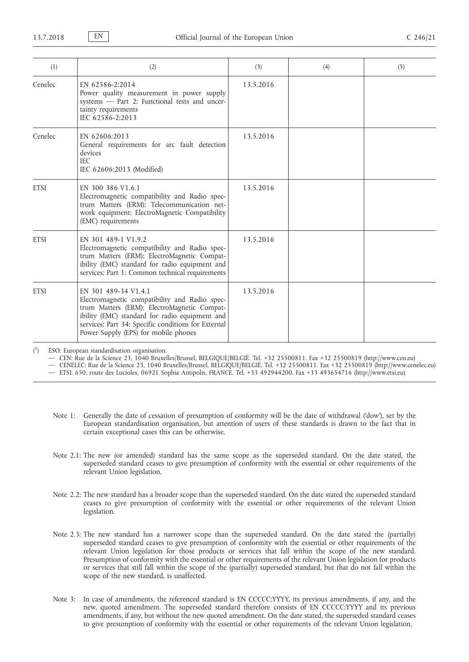| (1)         | (2)                                                                                                                                                                                                                                                                   | (3)       | (4) | (5) |
|-------------|-----------------------------------------------------------------------------------------------------------------------------------------------------------------------------------------------------------------------------------------------------------------------|-----------|-----|-----|
| Cenelec     | EN 62586-2:2014<br>Power quality measurement in power supply<br>systems - Part 2: Functional tests and uncer-<br>tainty requirements<br>IEC 62586-2:2013                                                                                                              | 13.5.2016 |     |     |
| Cenelec     | EN 62606:2013<br>General requirements for arc fault detection<br>devices<br><b>IEC</b><br>IEC 62606:2013 (Modified)                                                                                                                                                   | 13.5.2016 |     |     |
| <b>ETSI</b> | EN 300 386 V1.6.1<br>Electromagnetic compatibility and Radio spec-<br>trum Matters (ERM); Telecommunication net-<br>work equipment; ElectroMagnetic Compatibility<br>(EMC) requirements                                                                               | 13.5.2016 |     |     |
| <b>ETSI</b> | EN 301 489-1 V1.9.2<br>Electromagnetic compatibility and Radio spec-<br>trum Matters (ERM); ElectroMagnetic Compat-<br>ibility (EMC) standard for radio equipment and<br>services; Part 1: Common technical requirements                                              | 13.5.2016 |     |     |
| <b>ETSI</b> | EN 301 489-34 V1.4.1<br>Electromagnetic compatibility and Radio spec-<br>trum Matters (ERM); ElectroMagnetic Compat-<br>ibility (EMC) standard for radio equipment and<br>services; Part 34: Specific conditions for External<br>Power Supply (EPS) for mobile phones | 13.5.2016 |     |     |

 $\binom{1}{1}$ ) ESO: European standardisation organisation:

— CEN: Rue de la Science 23, 1040 Bruxelles/Brussel, BELGIQUE/BELGIË. Tel. +32 25500811. Fax +32 25500819 [\(http://www.cen.eu\)](http://www.cen.eu)

— CENELEC: Rue de la Science 23, 1040 Bruxelles/Brussel, BELGIQUE/BELGIË. Tel. +32 25500811. Fax +32 25500819 ([http://www.cenelec.eu\)](http://www.cenelec.eu)

— ETSI: 650, route des Lucioles, 06921 Sophia Antipolis, FRANCE. Tel. +33 492944200. Fax +33 493654716 ([http://www.etsi.eu\)](http://www.etsi.eu)

- Note 1: Generally the date of cessation of presumption of conformity will be the date of withdrawal ('dow'), set by the European standardisation organisation, but attention of users of these standards is drawn to the fact that in certain exceptional cases this can be otherwise.
- Note 2.1: The new (or amended) standard has the same scope as the superseded standard. On the date stated, the superseded standard ceases to give presumption of conformity with the essential or other requirements of the relevant Union legislation.
- Note 2.2: The new standard has a broader scope than the superseded standard. On the date stated the superseded standard ceases to give presumption of conformity with the essential or other requirements of the relevant Union legislation.
- Note 2.3: The new standard has a narrower scope than the superseded standard. On the date stated the (partially) superseded standard ceases to give presumption of conformity with the essential or other requirements of the relevant Union legislation for those products or services that fall within the scope of the new standard. Presumption of conformity with the essential or other requirements of the relevant Union legislation for products or services that still fall within the scope of the (partially) superseded standard, but that do not fall within the scope of the new standard, is unaffected.
- Note 3: In case of amendments, the referenced standard is EN CCCCC:YYYY, its previous amendments, if any, and the new, quoted amendment. The superseded standard therefore consists of EN CCCCC:YYYY and its previous amendments, if any, but without the new quoted amendment. On the date stated, the superseded standard ceases to give presumption of conformity with the essential or other requirements of the relevant Union legislation.